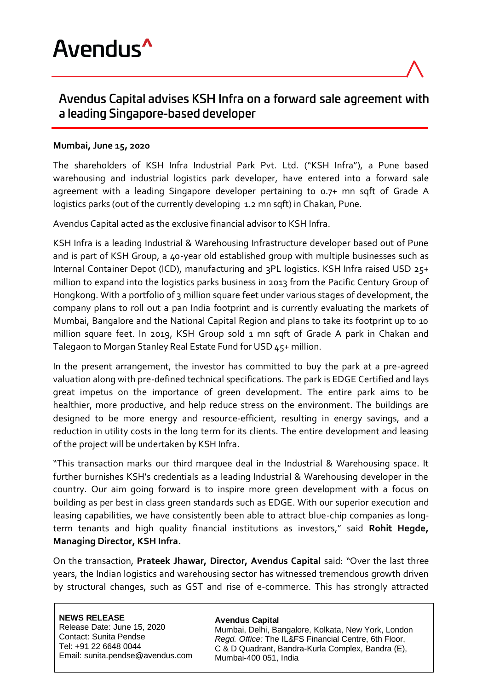



## Avendus Capital advises KSH Infra on a forward sale agreement with a leading Singapore-based developer

## **Mumbai, June 15, 2020**

The shareholders of KSH Infra Industrial Park Pvt. Ltd. ("KSH Infra"), a Pune based warehousing and industrial logistics park developer, have entered into a forward sale agreement with a leading Singapore developer pertaining to 0.7+ mn sqft of Grade A logistics parks (out of the currently developing 1.2 mn sqft) in Chakan, Pune.

Avendus Capital acted as the exclusive financial advisor to KSH Infra.

KSH Infra is a leading Industrial & Warehousing Infrastructure developer based out of Pune and is part of KSH Group, a 40-year old established group with multiple businesses such as Internal Container Depot (ICD), manufacturing and 3PL logistics. KSH Infra raised USD 25+ million to expand into the logistics parks business in 2013 from the Pacific Century Group of Hongkong. With a portfolio of 3 million square feet under various stages of development, the company plans to roll out a pan India footprint and is currently evaluating the markets of Mumbai, Bangalore and the National Capital Region and plans to take its footprint up to 10 million square feet. In 2019, KSH Group sold 1 mn sqft of Grade A park in Chakan and Talegaon to Morgan Stanley Real Estate Fund for USD 45+ million.

In the present arrangement, the investor has committed to buy the park at a pre-agreed valuation along with pre-defined technical specifications. The park is EDGE Certified and lays great impetus on the importance of green development. The entire park aims to be healthier, more productive, and help reduce stress on the environment. The buildings are designed to be more energy and resource-efficient, resulting in energy savings, and a reduction in utility costs in the long term for its clients. The entire development and leasing of the project will be undertaken by KSH Infra.

"This transaction marks our third marquee deal in the Industrial & Warehousing space. It further burnishes KSH's credentials as a leading Industrial & Warehousing developer in the country. Our aim going forward is to inspire more green development with a focus on building as per best in class green standards such as EDGE. With our superior execution and leasing capabilities, we have consistently been able to attract blue-chip companies as longterm tenants and high quality financial institutions as investors," said **Rohit Hegde, Managing Director, KSH Infra.**

On the transaction, **Prateek Jhawar, Director, Avendus Capital** said: "Over the last three years, the Indian logistics and warehousing sector has witnessed tremendous growth driven by structural changes, such as GST and rise of e-commerce. This has strongly attracted

**NEWS RELEASE** Release Date: June 15, 2020 Contact: Sunita Pendse Tel: +91 22 6648 0044 Email: sunita.pendse@avendus.com

## **Avendus Capital**

Mumbai, Delhi, Bangalore, Kolkata, New York, London *Regd. Office:* The IL&FS Financial Centre, 6th Floor, C & D Quadrant, Bandra-Kurla Complex, Bandra (E), Mumbai-400 051, India